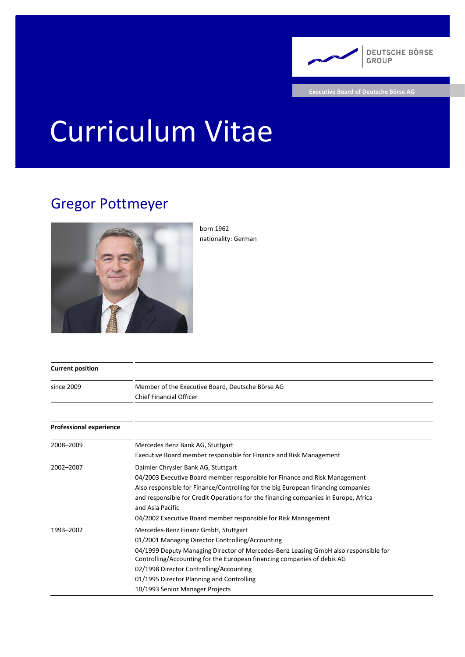

**Executive Board of Deutsche Börse AG**

# Curriculum Vitae

## Gregor Pottmeyer



born 1962 nationality: German

| <b>Current position</b>        |                                                                                                                                                                                                                                                                                                                                                                                       |
|--------------------------------|---------------------------------------------------------------------------------------------------------------------------------------------------------------------------------------------------------------------------------------------------------------------------------------------------------------------------------------------------------------------------------------|
| since 2009                     | Member of the Executive Board, Deutsche Börse AG<br><b>Chief Financial Officer</b>                                                                                                                                                                                                                                                                                                    |
|                                |                                                                                                                                                                                                                                                                                                                                                                                       |
| <b>Professional experience</b> |                                                                                                                                                                                                                                                                                                                                                                                       |
| 2008-2009                      | Mercedes Benz Bank AG, Stuttgart<br>Executive Board member responsible for Finance and Risk Management                                                                                                                                                                                                                                                                                |
| 2002-2007                      | Daimler Chrysler Bank AG, Stuttgart<br>04/2003 Executive Board member responsible for Finance and Risk Management<br>Also responsible for Finance/Controlling for the big European financing companies<br>and responsible for Credit Operations for the financing companies in Europe, Africa<br>and Asia Pacific<br>04/2002 Executive Board member responsible for Risk Management   |
| 1993-2002                      | Mercedes-Benz Finanz GmbH, Stuttgart<br>01/2001 Managing Director Controlling/Accounting<br>04/1999 Deputy Managing Director of Mercedes-Benz Leasing GmbH also responsible for<br>Controlling/Accounting for the European financing companies of debis AG<br>02/1998 Director Controlling/Accounting<br>01/1995 Director Planning and Controlling<br>10/1993 Senior Manager Projects |